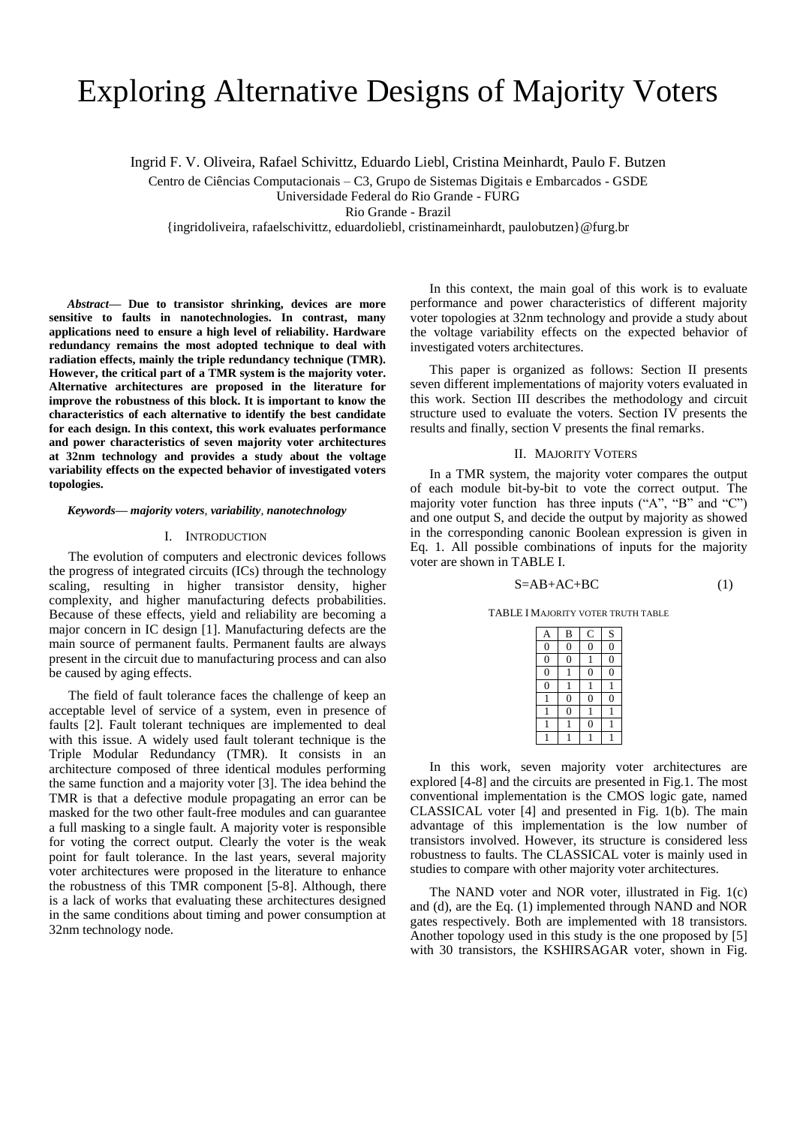# Exploring Alternative Designs of Majority Voters

Ingrid F. V. Oliveira, Rafael Schivittz, Eduardo Liebl, Cristina Meinhardt, Paulo F. Butzen

Centro de Ciências Computacionais – C3, Grupo de Sistemas Digitais e Embarcados - GSDE

Universidade Federal do Rio Grande - FURG

Rio Grande - Brazil

{ingridoliveira, rafaelschivittz, eduardoliebl, cristinameinhardt, paulobutzen}@furg.br

*Abstract***— Due to transistor shrinking, devices are more sensitive to faults in nanotechnologies. In contrast, many applications need to ensure a high level of reliability. Hardware redundancy remains the most adopted technique to deal with radiation effects, mainly the triple redundancy technique (TMR). However, the critical part of a TMR system is the majority voter. Alternative architectures are proposed in the literature for improve the robustness of this block. It is important to know the characteristics of each alternative to identify the best candidate for each design. In this context, this work evaluates performance and power characteristics of seven majority voter architectures at 32nm technology and provides a study about the voltage variability effects on the expected behavior of investigated voters topologies.**

#### *Keywords— majority voters, variability, nanotechnology*

## I. INTRODUCTION

The evolution of computers and electronic devices follows the progress of integrated circuits (ICs) through the technology scaling, resulting in higher transistor density, higher complexity, and higher manufacturing defects probabilities. Because of these effects, yield and reliability are becoming a major concern in IC design [1]. Manufacturing defects are the main source of permanent faults. Permanent faults are always present in the circuit due to manufacturing process and can also be caused by aging effects.

The field of fault tolerance faces the challenge of keep an acceptable level of service of a system, even in presence of faults [2]. Fault tolerant techniques are implemented to deal with this issue. A widely used fault tolerant technique is the Triple Modular Redundancy (TMR). It consists in an architecture composed of three identical modules performing the same function and a majority voter [3]. The idea behind the TMR is that a defective module propagating an error can be masked for the two other fault-free modules and can guarantee a full masking to a single fault. A majority voter is responsible for voting the correct output. Clearly the voter is the weak point for fault tolerance. In the last years, several majority voter architectures were proposed in the literature to enhance the robustness of this TMR component [5-8]. Although, there is a lack of works that evaluating these architectures designed in the same conditions about timing and power consumption at 32nm technology node.

In this context, the main goal of this work is to evaluate performance and power characteristics of different majority voter topologies at 32nm technology and provide a study about the voltage variability effects on the expected behavior of investigated voters architectures.

This paper is organized as follows: Section II presents seven different implementations of majority voters evaluated in this work. Section III describes the methodology and circuit structure used to evaluate the voters. Section IV presents the results and finally, section V presents the final remarks.

#### II. MAJORITY VOTERS

In a TMR system, the majority voter compares the output of each module bit-by-bit to vote the correct output. The majority voter function has three inputs ("A", "B" and "C") and one output S, and decide the output by majority as showed in the corresponding canonic Boolean expression is given in Eq. 1. All possible combinations of inputs for the majority voter are shown in TABLE I.

$$
S = AB + AC + BC \tag{1}
$$

TABLE I MAJORITY VOTER TRUTH TABLE

| $\Delta$       | B              | C | $\mathbf S$ |
|----------------|----------------|---|-------------|
|                | Ō              |   |             |
| $\bar{0}$      | 0              |   | Ó           |
| $\overline{0}$ |                | C | Ċ           |
| $\overline{0}$ |                |   |             |
|                | $\overline{0}$ | Ü |             |
|                | $\overline{0}$ |   |             |
|                |                |   |             |
|                |                |   |             |

In this work, seven majority voter architectures are explored [4-8] and the circuits are presented in Fig.1. The most conventional implementation is the CMOS logic gate, named CLASSICAL voter [4] and presented in Fig. 1(b). The main advantage of this implementation is the low number of transistors involved. However, its structure is considered less robustness to faults. The CLASSICAL voter is mainly used in studies to compare with other majority voter architectures.

The NAND voter and NOR voter, illustrated in Fig. 1(c) and (d), are the Eq. (1) implemented through NAND and NOR gates respectively. Both are implemented with 18 transistors. Another topology used in this study is the one proposed by [5] with 30 transistors, the KSHIRSAGAR voter, shown in Fig.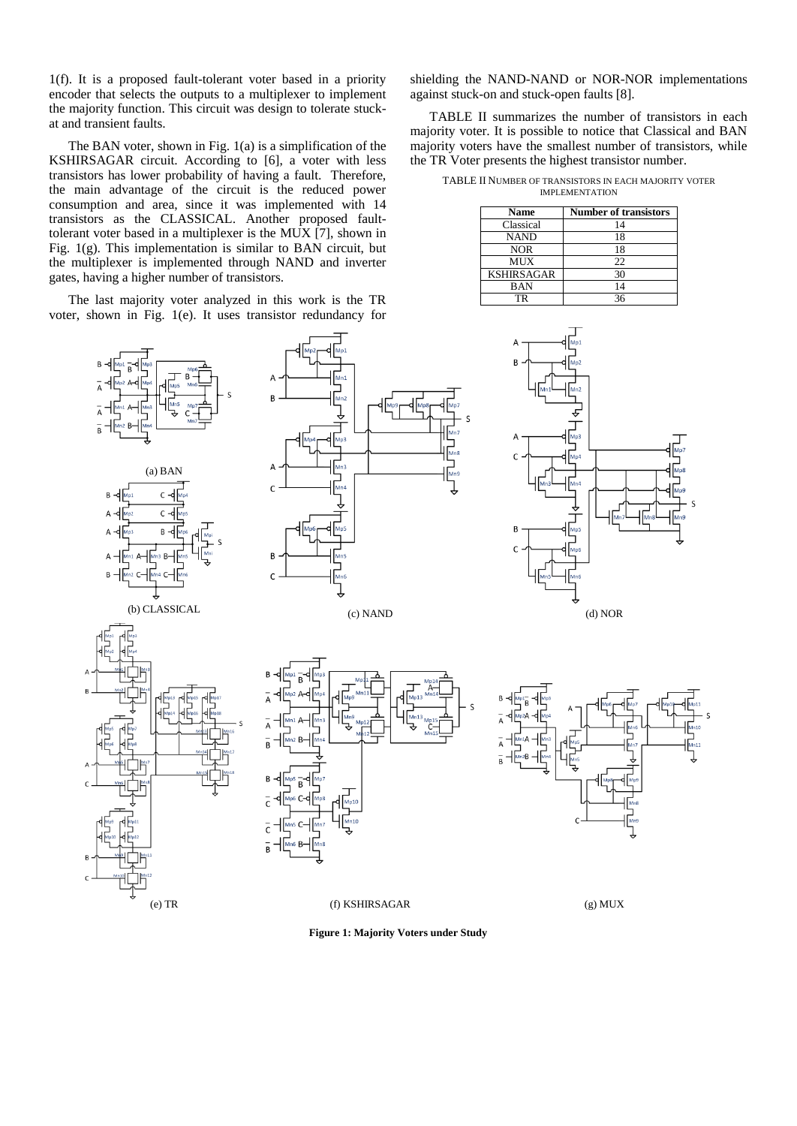1(f). It is a proposed fault-tolerant voter based in a priority encoder that selects the outputs to a multiplexer to implement the majority function. This circuit was design to tolerate stuckat and transient faults.

The BAN voter, shown in Fig. 1(a) is a simplification of the KSHIRSAGAR circuit. According to [6], a voter with less transistors has lower probability of having a fault. Therefore, the main advantage of the circuit is the reduced power consumption and area, since it was implemented with 14 transistors as the CLASSICAL. Another proposed faulttolerant voter based in a multiplexer is the MUX [7], shown in Fig. 1(g). This implementation is similar to BAN circuit, but the multiplexer is implemented through NAND and inverter gates, having a higher number of transistors.

The last majority voter analyzed in this work is the TR voter, shown in Fig. 1(e). It uses transistor redundancy for

shielding the NAND-NAND or NOR-NOR implementations against stuck-on and stuck-open faults [8].

TABLE II summarizes the number of transistors in each majority voter. It is possible to notice that Classical and BAN majority voters have the smallest number of transistors, while the TR Voter presents the highest transistor number.

TABLE II NUMBER OF TRANSISTORS IN EACH MAJORITY VOTER IMPLEMENTATION

| Name              | <b>Number of transistors</b> |
|-------------------|------------------------------|
| Classical         | 14                           |
| <b>NAND</b>       | 18                           |
| <b>NOR</b>        | 18                           |
| MUX               | 22                           |
| <b>KSHIRSAGAR</b> | 30                           |
| BAN               | 14                           |
| TR                | 36                           |



**Figure 1: Majority Voters under Study**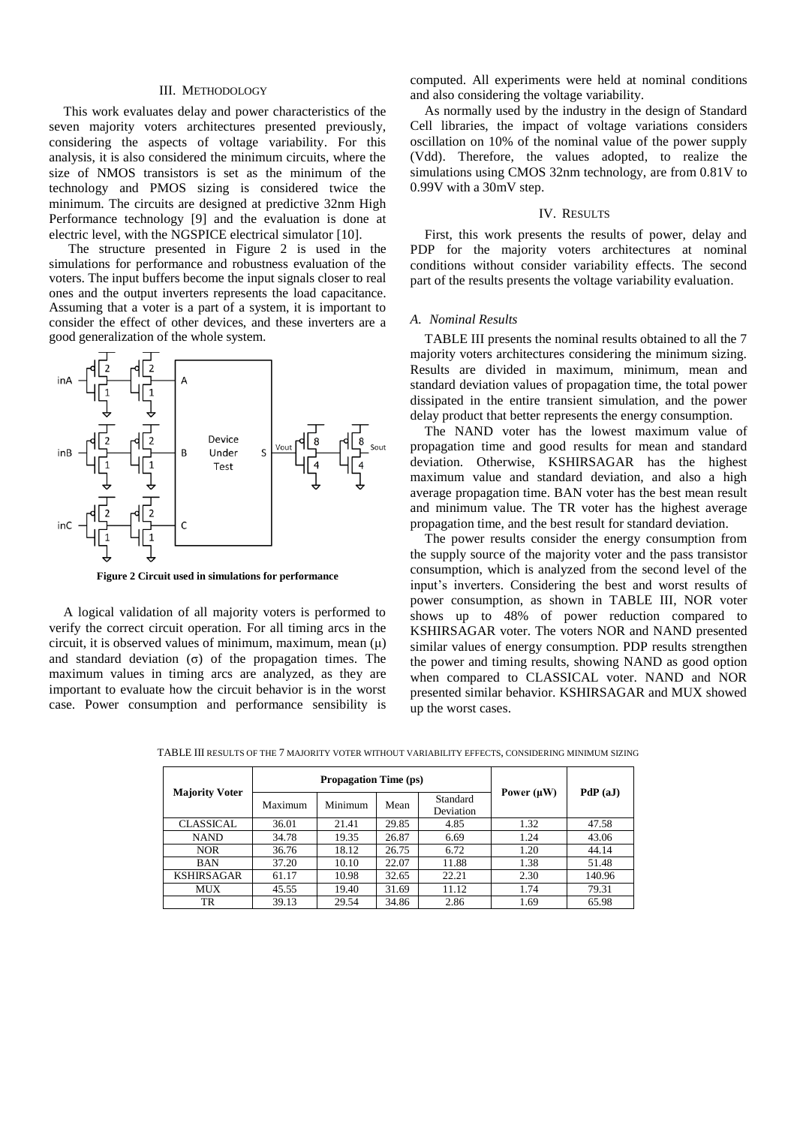### III. METHODOLOGY

This work evaluates delay and power characteristics of the seven majority voters architectures presented previously, considering the aspects of voltage variability. For this analysis, it is also considered the minimum circuits, where the size of NMOS transistors is set as the minimum of the technology and PMOS sizing is considered twice the minimum. The circuits are designed at predictive 32nm High Performance technology [9] and the evaluation is done at electric level, with the NGSPICE electrical simulator [10].

The structure presented in Figure 2 is used in the simulations for performance and robustness evaluation of the voters. The input buffers become the input signals closer to real ones and the output inverters represents the load capacitance. Assuming that a voter is a part of a system, it is important to consider the effect of other devices, and these inverters are a good generalization of the whole system.



**Figure 2 Circuit used in simulations for performance**

A logical validation of all majority voters is performed to verify the correct circuit operation. For all timing arcs in the circuit, it is observed values of minimum, maximum, mean  $(\mu)$ and standard deviation  $(\sigma)$  of the propagation times. The maximum values in timing arcs are analyzed, as they are important to evaluate how the circuit behavior is in the worst case. Power consumption and performance sensibility is computed. All experiments were held at nominal conditions and also considering the voltage variability.

As normally used by the industry in the design of Standard Cell libraries, the impact of voltage variations considers oscillation on 10% of the nominal value of the power supply (Vdd). Therefore, the values adopted, to realize the simulations using CMOS 32nm technology, are from 0.81V to 0.99V with a 30mV step.

## IV. RESULTS

First, this work presents the results of power, delay and PDP for the majority voters architectures at nominal conditions without consider variability effects. The second part of the results presents the voltage variability evaluation.

## *A. Nominal Results*

TABLE III presents the nominal results obtained to all the 7 majority voters architectures considering the minimum sizing. Results are divided in maximum, minimum, mean and standard deviation values of propagation time, the total power dissipated in the entire transient simulation, and the power delay product that better represents the energy consumption.

The NAND voter has the lowest maximum value of propagation time and good results for mean and standard deviation. Otherwise, KSHIRSAGAR has the highest maximum value and standard deviation, and also a high average propagation time. BAN voter has the best mean result and minimum value. The TR voter has the highest average propagation time, and the best result for standard deviation.

The power results consider the energy consumption from the supply source of the majority voter and the pass transistor consumption, which is analyzed from the second level of the input's inverters. Considering the best and worst results of power consumption, as shown in TABLE III, NOR voter shows up to 48% of power reduction compared to KSHIRSAGAR voter. The voters NOR and NAND presented similar values of energy consumption. PDP results strengthen the power and timing results, showing NAND as good option when compared to CLASSICAL voter. NAND and NOR presented similar behavior. KSHIRSAGAR and MUX showed up the worst cases.

| <b>Majority Voter</b> | <b>Propagation Time (ps)</b> |         |       |                       |                 | PdP(aJ) |  |
|-----------------------|------------------------------|---------|-------|-----------------------|-----------------|---------|--|
|                       | Maximum                      | Minimum | Mean  | Standard<br>Deviation | Power $(\mu W)$ |         |  |
| <b>CLASSICAL</b>      | 36.01                        | 21.41   | 29.85 | 4.85                  | 1.32            | 47.58   |  |
| <b>NAND</b>           | 34.78                        | 19.35   | 26.87 | 6.69                  | 1.24            | 43.06   |  |
| <b>NOR</b>            | 36.76                        | 18.12   | 26.75 | 6.72                  | 1.20            | 44.14   |  |
| <b>BAN</b>            | 37.20                        | 10.10   | 22.07 | 11.88                 | 1.38            | 51.48   |  |
| <b>KSHIRSAGAR</b>     | 61.17                        | 10.98   | 32.65 | 22.21                 | 2.30            | 140.96  |  |
| MUX                   | 45.55                        | 19.40   | 31.69 | 11.12                 | 1.74            | 79.31   |  |
| TR                    | 39.13                        | 29.54   | 34.86 | 2.86                  | 1.69            | 65.98   |  |

TABLE III RESULTS OF THE 7 MAJORITY VOTER WITHOUT VARIABILITY EFFECTS, CONSIDERING MINIMUM SIZING